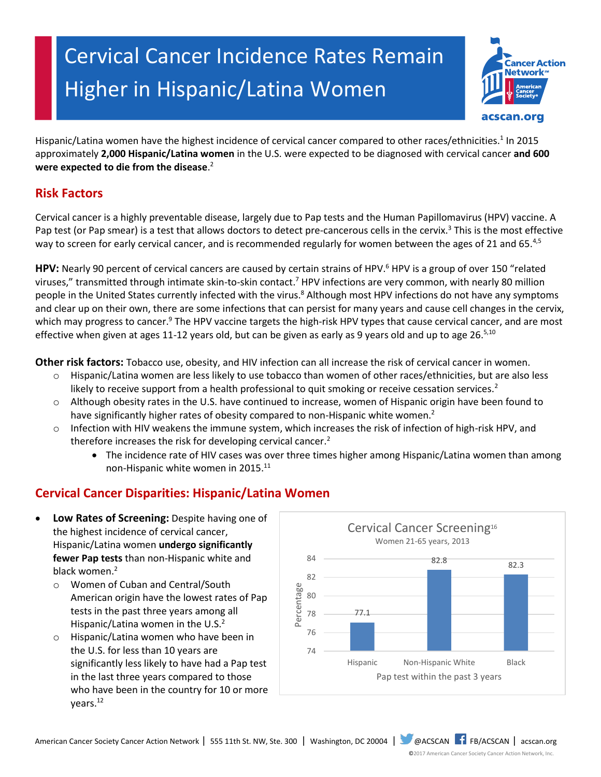# Cervical Cancer Incidence Rates Remain Higher in Hispanic/Latina Women



Hispanic/Latina women have the highest incidence of cervical cancer compared to other races/ethnicities.<sup>1</sup> In 2015 approximately **2,000 Hispanic/Latina women** in the U.S. were expected to be diagnosed with cervical cancer **and 600 were expected to die from the disease**. 2

# **Risk Factors**

Cervical cancer is a highly preventable disease, largely due to Pap tests and the Human Papillomavirus (HPV) vaccine. A Pap test (or Pap smear) is a test that allows doctors to detect pre-cancerous cells in the cervix.<sup>3</sup> This is the most effective way to screen for early cervical cancer, and is recommended regularly for women between the ages of 21 and 65.<sup>4,5</sup>

**HPV:** Nearly 90 percent of cervical cancers are caused by certain strains of HPV. <sup>6</sup> HPV is a group of over 150 "related viruses," transmitted through intimate skin-to-skin contact.<sup>7</sup> HPV infections are very common, with nearly 80 million people in the United States currently infected with the virus.<sup>8</sup> Although most HPV infections do not have any symptoms and clear up on their own, there are some infections that can persist for many years and cause cell changes in the cervix, which may progress to cancer.<sup>9</sup> The HPV vaccine targets the high-risk HPV types that cause cervical cancer, and are most effective when given at ages 11-12 years old, but can be given as early as 9 years old and up to age 26.<sup>5,10</sup>

**Other risk factors:** Tobacco use, obesity, and HIV infection can all increase the risk of cervical cancer in women.

- o Hispanic/Latina women are less likely to use tobacco than women of other races/ethnicities, but are also less likely to receive support from a health professional to quit smoking or receive cessation services.<sup>2</sup>
- o Although obesity rates in the U.S. have continued to increase, women of Hispanic origin have been found to have significantly higher rates of obesity compared to non-Hispanic white women.<sup>2</sup>
- o Infection with HIV weakens the immune system, which increases the risk of infection of high-risk HPV, and therefore increases the risk for developing cervical cancer.<sup>2</sup>
	- The incidence rate of HIV cases was over three times higher among Hispanic/Latina women than among non-Hispanic white women in 2015.<sup>11</sup>

# **Cervical Cancer Disparities: Hispanic/Latina Women**

- **Low Rates of Screening:** Despite having one of the highest incidence of cervical cancer, Hispanic/Latina women **undergo significantly fewer Pap tests** than non-Hispanic white and black women. 2
	- o Women of Cuban and Central/South American origin have the lowest rates of Pap tests in the past three years among all Hispanic/Latina women in the U.S.<sup>2</sup>
	- o Hispanic/Latina women who have been in the U.S. for less than 10 years are significantly less likely to have had a Pap test in the last three years compared to those who have been in the country for 10 or more years.<sup>12</sup>

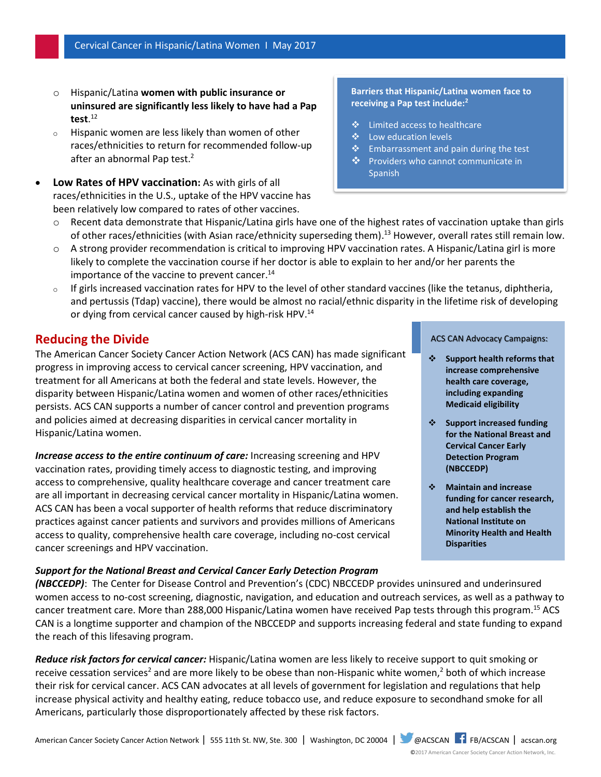- o Hispanic/Latina **women with public insurance or uninsured are significantly less likely to have had a Pap test**. 12
- o Hispanic women are less likely than women of other races/ethnicities to return for recommended follow-up after an abnormal Pap test. 2
- **Low Rates of HPV vaccination:** As with girls of all races/ethnicities in the U.S., uptake of the HPV vaccine has been relatively low compared to rates of other vaccines.

## o Recent data demonstrate that Hispanic/Latina girls have one of the highest rates of vaccination uptake than girls of other races/ethnicities (with Asian race/ethnicity superseding them).<sup>13</sup> However, overall rates still remain low.

- o A strong provider recommendation is critical to improving HPV vaccination rates. A Hispanic/Latina girl is more likely to complete the vaccination course if her doctor is able to explain to her and/or her parents the importance of the vaccine to prevent cancer. 14
- $\circ$  If girls increased vaccination rates for HPV to the level of other standard vaccines (like the tetanus, diphtheria, and pertussis (Tdap) vaccine), there would be almost no racial/ethnic disparity in the lifetime risk of developing or dying from cervical cancer caused by high-risk HPV.<sup>14</sup>

## **Reducing the Divide**

The American Cancer Society Cancer Action Network (ACS CAN) has made significant progress in improving access to cervical cancer screening, HPV vaccination, and treatment for all Americans at both the federal and state levels. However, the disparity between Hispanic/Latina women and women of other races/ethnicities persists. ACS CAN supports a number of cancer control and prevention programs and policies aimed at decreasing disparities in cervical cancer mortality in Hispanic/Latina women.

*Increase access to the entire continuum of care:* Increasing screening and HPV vaccination rates, providing timely access to diagnostic testing, and improving access to comprehensive, quality healthcare coverage and cancer treatment care are all important in decreasing cervical cancer mortality in Hispanic/Latina women. ACS CAN has been a vocal supporter of health reforms that reduce discriminatory practices against cancer patients and survivors and provides millions of Americans access to quality, comprehensive health care coverage, including no-cost cervical cancer screenings and HPV vaccination.

#### *Support for the National Breast and Cervical Cancer Early Detection Program*

#### ACS CAN Advocacy Campaigns:

- **Support health reforms that increase comprehensive health care coverage, including expanding Medicaid eligibility**
- **Support increased funding for the National Breast and Cervical Cancer Early Detection Program (NBCCEDP)**
- **Maintain and increase funding for cancer research, and help establish the National Institute on Minority Health and Health Disparities**

*(NBCCEDP)*: The Center for Disease Control and Prevention's (CDC) NBCCEDP provides uninsured and underinsured women access to no-cost screening, diagnostic, navigation, and education and outreach services, as well as a pathway to cancer treatment care. More than 288,000 Hispanic/Latina women have received Pap tests through this program.<sup>15</sup> ACS CAN is a longtime supporter and champion of the NBCCEDP and supports increasing federal and state funding to expand the reach of this lifesaving program.

*Reduce risk factors for cervical cancer:* Hispanic/Latina women are less likely to receive support to quit smoking or receive cessation services<sup>2</sup> and are more likely to be obese than non-Hispanic white women,<sup>2</sup> both of which increase their risk for cervical cancer. ACS CAN advocates at all levels of government for legislation and regulations that help increase physical activity and healthy eating, reduce tobacco use, and reduce exposure to secondhand smoke for all Americans, particularly those disproportionately affected by these risk factors.

#### ©2017 American Cancer Society Cancer Action Network, Inc.

## **Barriers that Hispanic/Latina women face to receiving a Pap test include:<sup>2</sup>**

- Limited access to healthcare
- ❖ Low education levels
- ❖ Embarrassment and pain during the test
- ❖ Providers who cannot communicate in Spanish